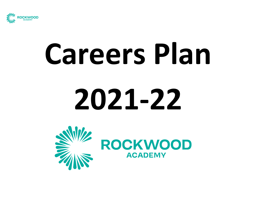

# **Careers Plan 2021-22**

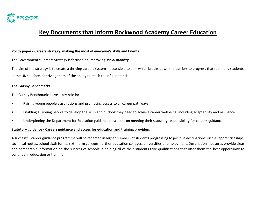

## **Key Documents that Inform Rockwood Academy Career Education**

### **Policy paper - Careers strategy: making the most of everyone's skills and talents**

The Government's Careers Strategy is focused on improving *social mobility*.

The aim of the strategy is to create a thriving careers system – accessible to all – which breaks down the barriers to progress that too many students in the UK still face, depriving them of the ability to reach their full potential.

### **The Gatsby Benchmarks**

The Gatsby Benchmarks have a key role in:

- Raising young people's aspirations and promoting access to all career pathways.
- Enabling all young people to develop the skills and outlook they need to achieve career wellbeing, including adaptability and resilience.
- Underpinning the Department for Education guidance to schools on meeting their statutory responsibility for careers guidance.

### **Statutory guidance - Careers guidance and access for education and training providers**

A successful career guidance programme will be reflected in higher numbers of students progressing to positive destinations such as apprenticeships, technical routes, school sixth forms, sixth form colleges, further education colleges, universities or employment. Destination measures provide clear and comparable information on the success of schools in helping all of their students take qualifications that offer them the best opportunity to continue in education or training.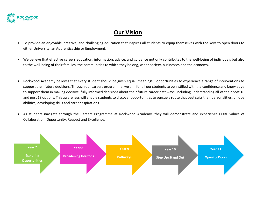

# **Our Vision**

- To provide an enjoyable, creative, and challenging education that inspires all students to equip themselves with the keys to open doors to either University, an Apprenticeship or Employment.
- We believe that effective careers education, information, advice, and guidance not only contributes to the well-being of individuals but also to the well-being of their families, the communities to which they belong, wider society, businesses and the economy.
- Rockwood Academy believes that every student should be given equal, meaningful opportunities to experience a range of interventions to support their future decisions. Through our careers programme, we aim for all our students to be instilled with the confidence and knowledge to support them in making decisive, fully informed decisions about their future career pathways, including understanding all of their post 16 and post 18 options. This awareness will enable students to discover opportunities to pursue a route that best suits their personalities, unique abilities, developing skills and career aspirations.
- As students navigate through the Careers Programme at Rockwood Academy, they will demonstrate and experience CORE values of Collaboration, Opportunity, Respect and Excellence.

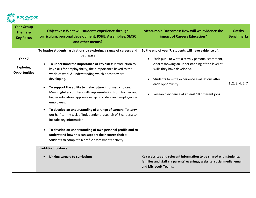

| <b>Year Group</b><br>Theme &<br><b>Key Focus</b>       | <b>Objectives: What will students experience through</b><br>curriculum, personal development, PSHE, Assemblies, SMSC<br>and other means?                                                                                                                                                                                                                                                                                                                                                                                                                                                                                                                                                                                                                                                                                           | <b>Measurable Outcomes: How will we evidence the</b><br>impact of Careers Education?                                                                                                                                                                                                                                   | <b>Gatsby</b><br><b>Benchmarks</b> |
|--------------------------------------------------------|------------------------------------------------------------------------------------------------------------------------------------------------------------------------------------------------------------------------------------------------------------------------------------------------------------------------------------------------------------------------------------------------------------------------------------------------------------------------------------------------------------------------------------------------------------------------------------------------------------------------------------------------------------------------------------------------------------------------------------------------------------------------------------------------------------------------------------|------------------------------------------------------------------------------------------------------------------------------------------------------------------------------------------------------------------------------------------------------------------------------------------------------------------------|------------------------------------|
| Year 7<br><b>Exploring</b><br><b>Opportunities</b>     | To inspire students' aspirations by exploring a range of careers and<br>pathways<br>To understand the importance of key skills: Introduction to<br>key skills for employability, their importance linked to the<br>world of work & understanding which ones they are<br>developing.<br>To support the ability to make future informed choices:<br>Meaningful encounters with representation from further and<br>higher education, apprenticeship providers and employers &<br>employees.<br>To develop an understanding of a range of careers: To carry<br>out half-termly task of independent research of 3 careers; to<br>include key information.<br>To develop an understanding of own personal profile and to<br>understand how this can support their career choice:<br>Students to complete a profile assessments activity. | By the end of year 7, students will have evidence of:<br>Each pupil to write a termly personal statement,<br>clearly showing an understanding of the level of<br>skills they have developed.<br>Students to write experience evaluations after<br>each opportunity.<br>Research evidence of at least 18 different jobs | 1, 2, 3, 4, 5, 7                   |
| In addition to above:<br>Linking careers to curriculum |                                                                                                                                                                                                                                                                                                                                                                                                                                                                                                                                                                                                                                                                                                                                                                                                                                    | Key websites and relevant information to be shared with students,<br>families and staff via parents' evenings, website, social media, email<br>and Microsoft Teams.                                                                                                                                                    |                                    |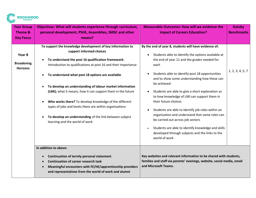

| <b>Year Group</b>                              | Objectives: What will students experience through curriculum,                                                                                                                                                                                                                                                                                                                                                                                                                                                                                                                                                                | <b>Measurable Outcomes: How will we evidence the</b>                                                                                                                                                                                                                                                                                                                                                                                                                                                                                                                                                                                                                                                                                        | Gatsby            |
|------------------------------------------------|------------------------------------------------------------------------------------------------------------------------------------------------------------------------------------------------------------------------------------------------------------------------------------------------------------------------------------------------------------------------------------------------------------------------------------------------------------------------------------------------------------------------------------------------------------------------------------------------------------------------------|---------------------------------------------------------------------------------------------------------------------------------------------------------------------------------------------------------------------------------------------------------------------------------------------------------------------------------------------------------------------------------------------------------------------------------------------------------------------------------------------------------------------------------------------------------------------------------------------------------------------------------------------------------------------------------------------------------------------------------------------|-------------------|
| Theme &                                        | personal development, PSHE, Assemblies, SMSC and other                                                                                                                                                                                                                                                                                                                                                                                                                                                                                                                                                                       | impact of Careers Education?                                                                                                                                                                                                                                                                                                                                                                                                                                                                                                                                                                                                                                                                                                                | <b>Benchmarks</b> |
| <b>Key Focus</b>                               | means?                                                                                                                                                                                                                                                                                                                                                                                                                                                                                                                                                                                                                       |                                                                                                                                                                                                                                                                                                                                                                                                                                                                                                                                                                                                                                                                                                                                             |                   |
| Year 8<br><b>Broadening</b><br><b>Horizons</b> | To support the knowledge development of key information to<br>support informed choices<br>To understand the post 16 qualification framework:<br>Introduction to qualifications at post 16 and their importance<br>To understand what post 18 options are available<br>$\bullet$<br>To develop an understanding of labour market information<br>(LMI); what it means, how it can support them in the future<br>Who works there? To develop knowledge of the different<br>types of jobs and levels there are within organisations<br>To develop an understanding of the link between subject<br>learning and the world of work | By the end of year 8, students will have evidence of:<br>Students able to identify the options available at<br>$\bullet$<br>the end of year 11 and the grades needed for<br>each<br>Students able to identify post 18 opportunities<br>$\bullet$<br>and to show some understanding how these can<br>be achieved<br>Students are able to give a short explanation as<br>$\bullet$<br>to how knowledge of LMI can support them in<br>their future choices<br>Students are able to identify job roles within an<br>$\bullet$<br>organisation and understand that some roles can<br>be carried out across job sectors<br>Students are able to identify knowledge and skills<br>developed through subjects and the links to the<br>world of work | 1, 2, 3, 4, 5, 7  |
|                                                | In addition to above:                                                                                                                                                                                                                                                                                                                                                                                                                                                                                                                                                                                                        |                                                                                                                                                                                                                                                                                                                                                                                                                                                                                                                                                                                                                                                                                                                                             |                   |
|                                                | <b>Continuation of termly personal statement</b>                                                                                                                                                                                                                                                                                                                                                                                                                                                                                                                                                                             | Key websites and relevant information to be shared with students,                                                                                                                                                                                                                                                                                                                                                                                                                                                                                                                                                                                                                                                                           |                   |
|                                                | <b>Continuation of career research task</b>                                                                                                                                                                                                                                                                                                                                                                                                                                                                                                                                                                                  | families and staff via parents' evenings, website, social media, email                                                                                                                                                                                                                                                                                                                                                                                                                                                                                                                                                                                                                                                                      |                   |
|                                                | Meaningful encounters with FE/HE/apprenticeship providers                                                                                                                                                                                                                                                                                                                                                                                                                                                                                                                                                                    | and Microsoft Teams.                                                                                                                                                                                                                                                                                                                                                                                                                                                                                                                                                                                                                                                                                                                        |                   |
|                                                | and representatives from the world of work and alumni                                                                                                                                                                                                                                                                                                                                                                                                                                                                                                                                                                        |                                                                                                                                                                                                                                                                                                                                                                                                                                                                                                                                                                                                                                                                                                                                             |                   |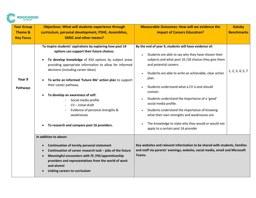

| <b>Year Group</b>  | <b>Objectives: What will students experience through</b>                                                                                                                                                                                                                                                                                                                                                                                                                                                                                                                       | <b>Measurable Outcomes: How will we evidence the</b>                                                                                                                                                                                                                                                                                                                                                                                                                                                                                                                                                | <b>Gatsby</b>     |
|--------------------|--------------------------------------------------------------------------------------------------------------------------------------------------------------------------------------------------------------------------------------------------------------------------------------------------------------------------------------------------------------------------------------------------------------------------------------------------------------------------------------------------------------------------------------------------------------------------------|-----------------------------------------------------------------------------------------------------------------------------------------------------------------------------------------------------------------------------------------------------------------------------------------------------------------------------------------------------------------------------------------------------------------------------------------------------------------------------------------------------------------------------------------------------------------------------------------------------|-------------------|
| Theme &            | curriculum, personal development, PSHE, Assemblies,                                                                                                                                                                                                                                                                                                                                                                                                                                                                                                                            | impact of Careers Education?                                                                                                                                                                                                                                                                                                                                                                                                                                                                                                                                                                        | <b>Benchmarks</b> |
| <b>Key Focus</b>   | <b>SMSC and other means?</b>                                                                                                                                                                                                                                                                                                                                                                                                                                                                                                                                                   |                                                                                                                                                                                                                                                                                                                                                                                                                                                                                                                                                                                                     |                   |
| Year 9<br>Pathways | To inspire students' aspirations by exploring how post 14<br>options can support their future choices.<br>To develop knowledge of KS4 options by subject areas<br>$\bullet$<br>providing appropriate information to allow for informed<br>decisions (including career ideas)<br>To write an informed 'Future Me' action plan to support<br>their career pathway.<br>To develop an awareness of self:<br>$\bullet$<br>Social media profile<br>$CV$ – initial draft<br>Evidence of personal strengths &<br>weaknesses<br>To research and compare post 16 providers.<br>$\bullet$ | By the end of year 9, students will have evidence of:<br>Students are able to say why they have chosen their<br>subjects and what post 16/18 choices they give them<br>and potential careers.<br>Students are able to write an achievable, clear action<br>plan.<br>Students understand what a CV is and should<br>contain.<br>Students understand the importance of a 'good'<br>social media profile.<br>Students understand the importance of knowing<br>what their own strengths and weaknesses are<br>The knowledge to state why they would or would not<br>apply to a certain post 16 provider | 1, 2, 3, 4, 5, 7  |
|                    | In addition to above:<br><b>Continuation of termly personal statement</b><br>$\bullet$<br>Continuation of career research task - jobs of the future<br>$\bullet$<br>Meaningful encounters with FE /HE/apprenticeship<br>$\bullet$<br>providers and representatives from the world of work<br>and alumni<br>Linking careers to curriculum                                                                                                                                                                                                                                       | Key websites and relevant information to be shared with students, families<br>and staff via parents' evenings, website, social media, email and Microsoft<br>Teams.                                                                                                                                                                                                                                                                                                                                                                                                                                 |                   |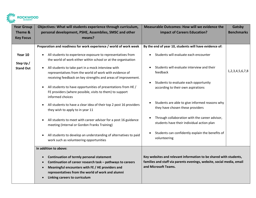

| <b>Year Group</b>             | Objectives: What will students experience through curriculum,                                                                                                                                                                                                                                                                                                                                                                                                                                                                                                                                                                                                                                                                                | <b>Measurable Outcomes: How will we evidence the</b>                                                                                                                                                                                                                                                                                                                                            | Gatsby                 |
|-------------------------------|----------------------------------------------------------------------------------------------------------------------------------------------------------------------------------------------------------------------------------------------------------------------------------------------------------------------------------------------------------------------------------------------------------------------------------------------------------------------------------------------------------------------------------------------------------------------------------------------------------------------------------------------------------------------------------------------------------------------------------------------|-------------------------------------------------------------------------------------------------------------------------------------------------------------------------------------------------------------------------------------------------------------------------------------------------------------------------------------------------------------------------------------------------|------------------------|
| Theme &                       | personal development, PSHE, Assemblies, SMSC and other                                                                                                                                                                                                                                                                                                                                                                                                                                                                                                                                                                                                                                                                                       | impact of Careers Education?                                                                                                                                                                                                                                                                                                                                                                    | <b>Benchmarks</b>      |
| <b>Key Focus</b>              | means?                                                                                                                                                                                                                                                                                                                                                                                                                                                                                                                                                                                                                                                                                                                                       |                                                                                                                                                                                                                                                                                                                                                                                                 |                        |
|                               | Preparation and readiness for work experience / world of work week                                                                                                                                                                                                                                                                                                                                                                                                                                                                                                                                                                                                                                                                           | By the end of year 10, students will have evidence of:                                                                                                                                                                                                                                                                                                                                          |                        |
| Year 10                       | All students to experience exposure to representatives from<br>$\bullet$<br>the world of work either within school or at the organisation                                                                                                                                                                                                                                                                                                                                                                                                                                                                                                                                                                                                    | Students will evaluate each encounter                                                                                                                                                                                                                                                                                                                                                           |                        |
| Step Up /<br><b>Stand Out</b> | All students to take part in a mock interview with<br>$\bullet$<br>representatives from the world of work with evidence of<br>receiving feedback on key strengths and areas of improvement.<br>All students to have opportunities of presentations from HE /<br>$\bullet$<br>FE providers (where possible, visits to them) to support<br>informed choices<br>All students to have a clear idea of their top 2 post 16 providers<br>$\bullet$<br>they wish to apply to in year 11<br>All students to meet with career advisor for a post 16 guidance<br>$\bullet$<br>meeting (Internal or Gordon Franks Training)<br>All students to develop an understanding of alternatives to paid<br>$\bullet$<br>work such as volunteering opportunities | Students will evaluate interview and their<br>feedback<br>Students to evaluate each opportunity<br>according to their own aspirations<br>Students are able to give informed reasons why<br>they have chosen these providers<br>Through collaboration with the career advisor,<br>students have their individual action plan<br>Students can confidently explain the benefits of<br>volunteering | 1, 2, 3, 4, 5, 6, 7, 8 |
|                               | In addition to above:                                                                                                                                                                                                                                                                                                                                                                                                                                                                                                                                                                                                                                                                                                                        |                                                                                                                                                                                                                                                                                                                                                                                                 |                        |
|                               | <b>Continuation of termly personal statement</b><br>$\bullet$<br>Continuation of career research task - pathways to careers<br>$\bullet$<br>Meaningful encounters with FE / HE providers and<br>$\bullet$<br>representatives from the world of work and alumni<br>Linking careers to curriculum                                                                                                                                                                                                                                                                                                                                                                                                                                              | Key websites and relevant information to be shared with students,<br>families and staff via parents evenings, website, social media, email<br>and Microsoft Teams.                                                                                                                                                                                                                              |                        |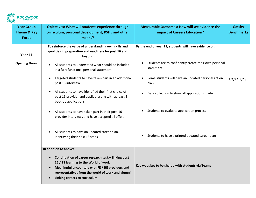

| <b>Year Group</b>    | <b>Objectives: What will students experience through</b>                                                                                                                                                                                                         | <b>Measurable Outcomes: How will we evidence the</b>               | Gatsby              |
|----------------------|------------------------------------------------------------------------------------------------------------------------------------------------------------------------------------------------------------------------------------------------------------------|--------------------------------------------------------------------|---------------------|
| Theme & Key          | curriculum, personal development, PSHE and other                                                                                                                                                                                                                 | impact of Careers Education?                                       | <b>Benchmarks</b>   |
| <b>Focus</b>         | means?                                                                                                                                                                                                                                                           |                                                                    |                     |
| Year 11              | To reinforce the value of understanding own skills and<br>qualities in preparation and readiness for post 16 and<br>beyond                                                                                                                                       | By the end of year 11, students will have evidence of:             |                     |
| <b>Opening Doors</b> | All students to understand what should be included<br>$\bullet$<br>in a fully functional personal statement                                                                                                                                                      | Students are to confidently create their own personal<br>statement |                     |
|                      | Targeted students to have taken part in an additional<br>$\bullet$<br>post 16 interview                                                                                                                                                                          | Some students will have an updated personal action<br>plan         | 1, 2, 3, 4, 5, 7, 8 |
|                      | All students to have identified their first choice of<br>$\bullet$<br>post 16 provider and applied, along with at least 2<br>back-up applications                                                                                                                | Data collection to show all applications made                      |                     |
|                      | All students to have taken part in their post 16<br>$\bullet$<br>provider interviews and have accepted all offers                                                                                                                                                | Students to evaluate application process                           |                     |
|                      | All students to have an updated career plan,<br>$\bullet$<br>identifying their post 18 steps                                                                                                                                                                     | Students to have a printed updated career plan                     |                     |
|                      | In addition to above:                                                                                                                                                                                                                                            |                                                                    |                     |
|                      | Continuation of career research task - linking post<br>$\bullet$<br>16 / 18 learning to the World of work<br>Meaningful encounters with FE / HE providers and<br>$\bullet$<br>representatives from the world of work and alumni<br>Linking careers to curriculum | Key websites to be shared with students via Teams                  |                     |